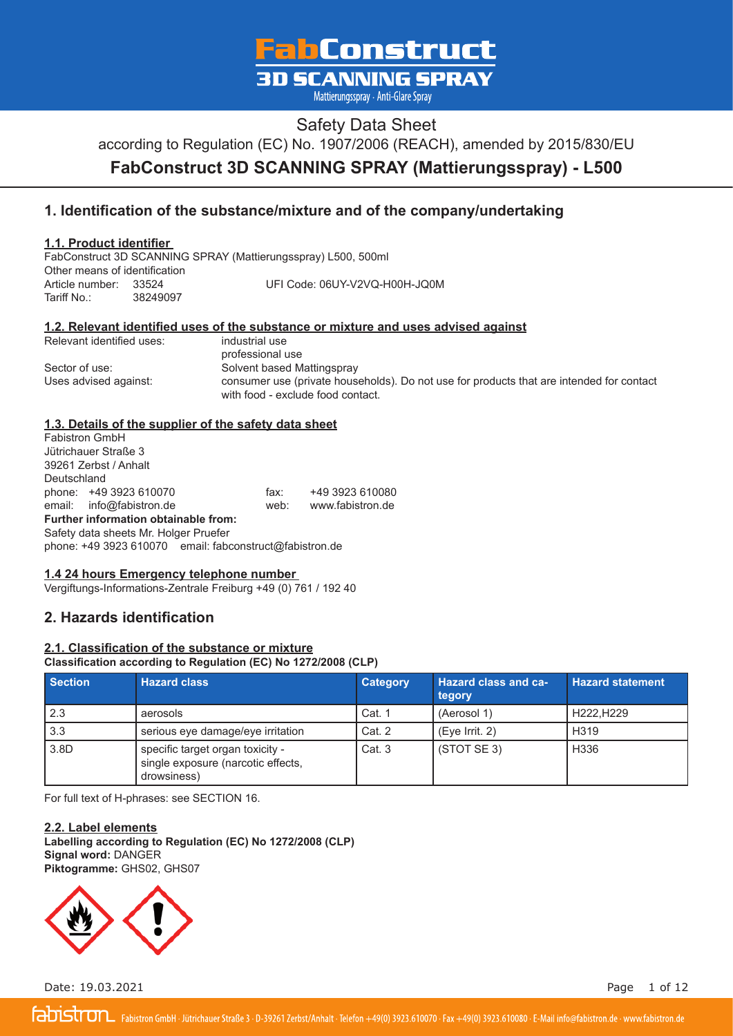

### Safety Data Sheet

according to Regulation (EC) No. 1907/2006 (REACH), amended by 2015/830/EU

**FabConstruct 3D SCANNING SPRAY (Mattierungsspray) - L500**

### **1. Identification of the substance/mixture and of the company/undertaking**

#### **1.1. Product identifier**

FabConstruct 3D SCANNING SPRAY (Mattierungsspray) L500, 500ml Other means of identification Article number: 33524 UFI Code: 06UY-V2VQ-H00H-JQ0M Tariff No.: 38249097

#### **1.2. Relevant identified uses of the substance or mixture and uses advised against**

Relevant identified uses:industrial use professional use Sector of use: Solvent based Mattingspray Uses advised against: consumer use (private households). Do not use for products that are intended for contact with food - exclude food contact.

#### **1.3. Details of the supplier of the safety data sheet**

|             | <b>Fabistron GmbH</b>                       |      |                       |
|-------------|---------------------------------------------|------|-----------------------|
|             | Jütrichauer Straße 3                        |      |                       |
|             | 39261 Zerbst / Anhalt                       |      |                       |
| Deutschland |                                             |      |                       |
|             | phone: +49 3923 610070                      | fax: | +49 3923 610080       |
|             | email: info@fabistron.de                    |      | web: www.fabistron.de |
|             | <b>Further information obtainable from:</b> |      |                       |
|             | Safety data sheets Mr. Holger Pruefer       |      |                       |
|             |                                             |      |                       |

phone: +49 3923 610070 email: fabconstruct@fabistron.de

#### **1.4 24 hours Emergency telephone number**

Vergiftungs-Informations-Zentrale Freiburg +49 (0) 761 / 192 40

### **2. Hazards identification**

#### **2.1. Classification of the substance or mixture Classification according to Regulation (EC) No 1272/2008 (CLP)**

| <b>Section</b> | <b>Hazard class</b>                                                                   | Category | <b>Hazard class and ca-</b><br>tegory | <b>Hazard statement</b> |
|----------------|---------------------------------------------------------------------------------------|----------|---------------------------------------|-------------------------|
| 2.3            | aerosols                                                                              | Cat. 1   | (Aerosol 1)                           | H222.H229               |
| 3.3            | serious eye damage/eye irritation                                                     | Cat. 2   | (Eve Irrit. 2)                        | H319                    |
| 3.8D           | specific target organ toxicity -<br>single exposure (narcotic effects,<br>drowsiness) | Cat.3    | (STOT SE 3)                           | H336                    |

For full text of H-phrases: see SECTION 16.

**2.2. Label elements Labelling according to Regulation (EC) No 1272/2008 (CLP) Signal word:** DANGER **Piktogramme:** GHS02, GHS07



Date: 19.03.2021

Page 1 of 12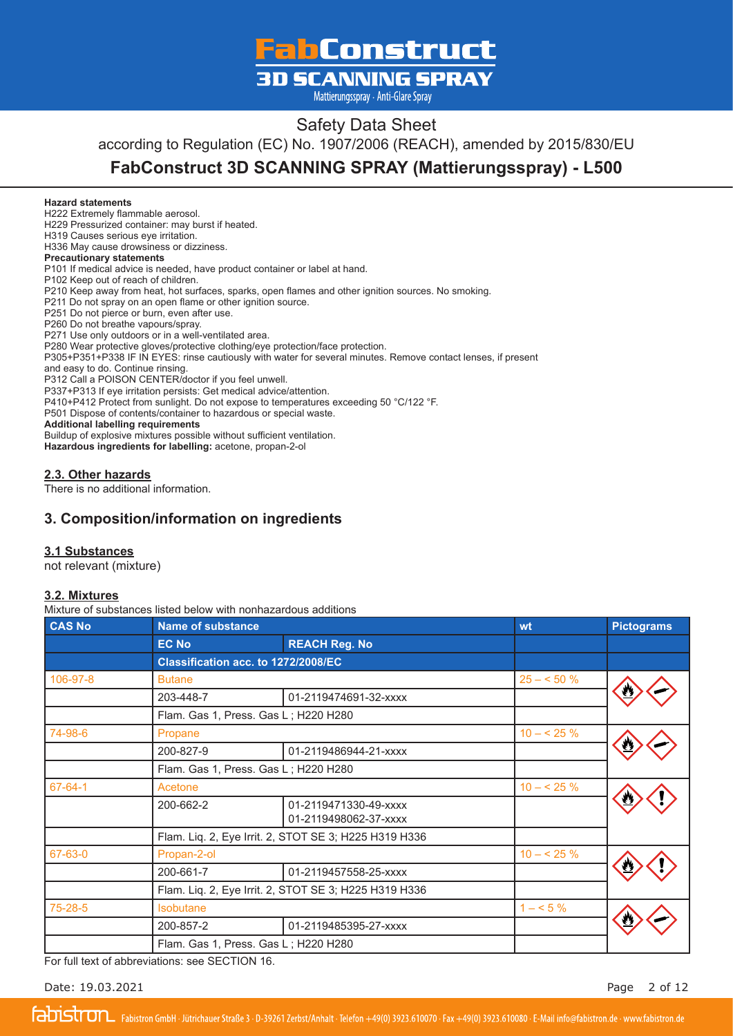

### Safety Data Sheet

according to Regulation (EC) No. 1907/2006 (REACH), amended by 2015/830/EU

**FabConstruct 3D SCANNING SPRAY (Mattierungsspray) - L500**

#### **Hazard statements**

H222 Extremely flammable aerosol.

H229 Pressurized container: may burst if heated.

H319 Causes serious eye irritation.

H336 May cause drowsiness or dizziness. **Precautionary statements**

P101 If medical advice is needed, have product container or label at hand.

P102 Keep out of reach of children.

P210 Keep away from heat, hot surfaces, sparks, open flames and other ignition sources. No smoking.

P211 Do not spray on an open flame or other ignition source.

P251 Do not pierce or burn, even after use.

P260 Do not breathe vapours/spray.

P271 Use only outdoors or in a well-ventilated area. P280 Wear protective gloves/protective clothing/eye protection/face protection.

P305+P351+P338 IF IN EYES: rinse cautiously with water for several minutes. Remove contact lenses, if present

and easy to do. Continue rinsing.

P312 Call a POISON CENTER/doctor if you feel unwell.

P337+P313 If eye irritation persists: Get medical advice/attention.

P410+P412 Protect from sunlight. Do not expose to temperatures exceeding 50 °C/122 °F.

P501 Dispose of contents/container to hazardous or special waste.

**Additional labelling requirements**

Buildup of explosive mixtures possible without sufficient ventilation.

**Hazardous ingredients for labelling:** acetone, propan-2-ol

**2.3. Other hazards**

There is no additional information.

### **3. Composition/information on ingredients**

#### **3.1 Substances**

not relevant (mixture)

#### **3.2. Mixtures**

Mixture of substances listed below with nonhazardous additions

| <b>CAS No</b> | <b>Name of substance</b>             |                                                       | wt            | <b>Pictograms</b> |  |
|---------------|--------------------------------------|-------------------------------------------------------|---------------|-------------------|--|
|               | <b>EC No</b>                         | <b>REACH Reg. No</b>                                  |               |                   |  |
|               | Classification acc. to 1272/2008/EC  |                                                       |               |                   |  |
| 106-97-8      | <b>Butane</b>                        |                                                       | $25 - 50 \%$  |                   |  |
|               | 203-448-7                            | 01-2119474691-32-xxxx                                 |               |                   |  |
|               | Flam. Gas 1, Press. Gas L; H220 H280 |                                                       |               |                   |  |
| 74-98-6       | Propane                              |                                                       | $10 - 525 \%$ |                   |  |
|               | 200-827-9                            | 01-2119486944-21-xxxx                                 |               |                   |  |
|               | Flam. Gas 1, Press. Gas L; H220 H280 |                                                       |               |                   |  |
| 67-64-1       | Acetone                              |                                                       | $10 - 525 %$  |                   |  |
|               | 200-662-2                            | 01-2119471330-49-xxxx<br>01-2119498062-37-xxxx        |               |                   |  |
|               |                                      | Flam. Liq. 2, Eye Irrit. 2, STOT SE 3; H225 H319 H336 |               |                   |  |
| 67-63-0       | Propan-2-ol                          |                                                       | $10 - 525 %$  |                   |  |
|               | 200-661-7                            | 01-2119457558-25-xxxx                                 |               |                   |  |
|               |                                      | Flam. Liq. 2, Eye Irrit. 2, STOT SE 3; H225 H319 H336 |               |                   |  |
| 75-28-5       | Isobutane                            |                                                       | $1 - 5\%$     |                   |  |
|               | 200-857-2                            | 01-2119485395-27-xxxx                                 |               |                   |  |
|               | Flam. Gas 1, Press. Gas L; H220 H280 |                                                       |               |                   |  |

For full text of abbreviations: see SECTION 16.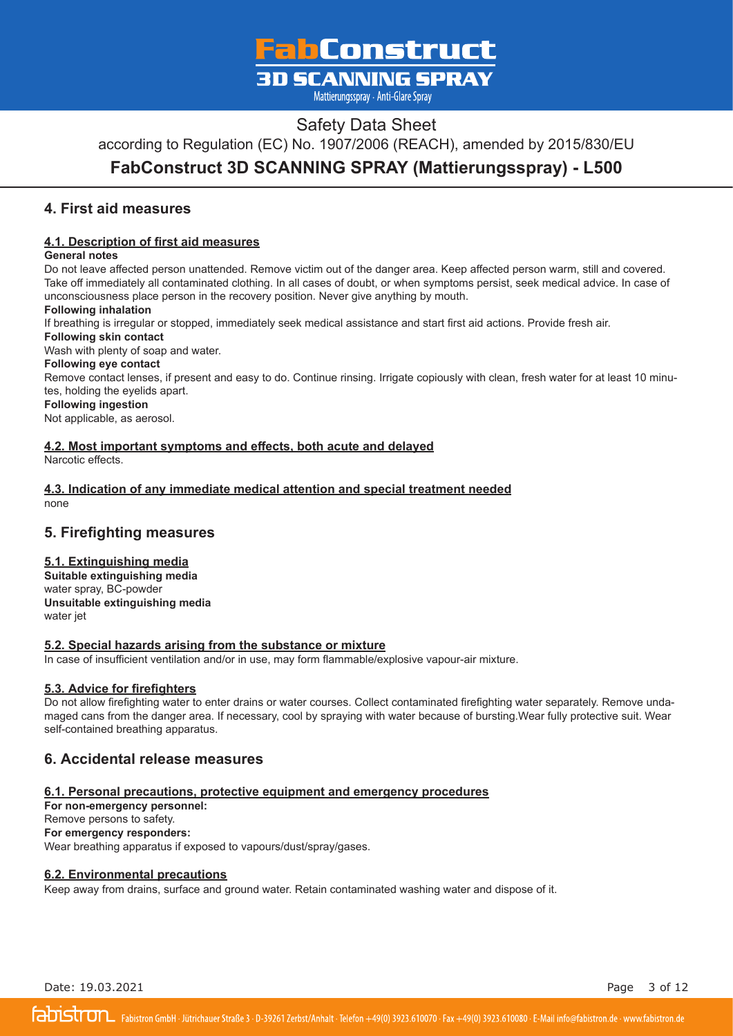

### Safety Data Sheet

according to Regulation (EC) No. 1907/2006 (REACH), amended by 2015/830/EU

**FabConstruct 3D SCANNING SPRAY (Mattierungsspray) - L500**

### **4. First aid measures**

#### **4.1. Description of first aid measures**

#### **General notes**

Do not leave affected person unattended. Remove victim out of the danger area. Keep affected person warm, still and covered. Take off immediately all contaminated clothing. In all cases of doubt, or when symptoms persist, seek medical advice. In case of unconsciousness place person in the recovery position. Never give anything by mouth.

#### **Following inhalation**

If breathing is irregular or stopped, immediately seek medical assistance and start first aid actions. Provide fresh air.

#### **Following skin contact**

Wash with plenty of soap and water.

#### **Following eye contact**

Remove contact lenses, if present and easy to do. Continue rinsing. Irrigate copiously with clean, fresh water for at least 10 minutes, holding the eyelids apart.

#### **Following ingestion**

Not applicable, as aerosol.

#### **4.2. Most important symptoms and effects, both acute and delayed**

Narcotic effects.

**4.3. Indication of any immediate medical attention and special treatment needed** none

### **5. Firefighting measures**

#### **5.1. Extinguishing media**

**Suitable extinguishing media** water spray, BC-powder **Unsuitable extinguishing media** water jet

#### **5.2. Special hazards arising from the substance or mixture**

In case of insufficient ventilation and/or in use, may form flammable/explosive vapour-air mixture.

#### **5.3. Advice for firefighters**

Do not allow firefighting water to enter drains or water courses. Collect contaminated firefighting water separately. Remove undamaged cans from the danger area. If necessary, cool by spraying with water because of bursting.Wear fully protective suit. Wear self-contained breathing apparatus.

### **6. Accidental release measures**

#### **6.1. Personal precautions, protective equipment and emergency procedures**

**For non-emergency personnel:**  Remove persons to safety. **For emergency responders:**  Wear breathing apparatus if exposed to vapours/dust/spray/gases.

#### **6.2. Environmental precautions**

Keep away from drains, surface and ground water. Retain contaminated washing water and dispose of it.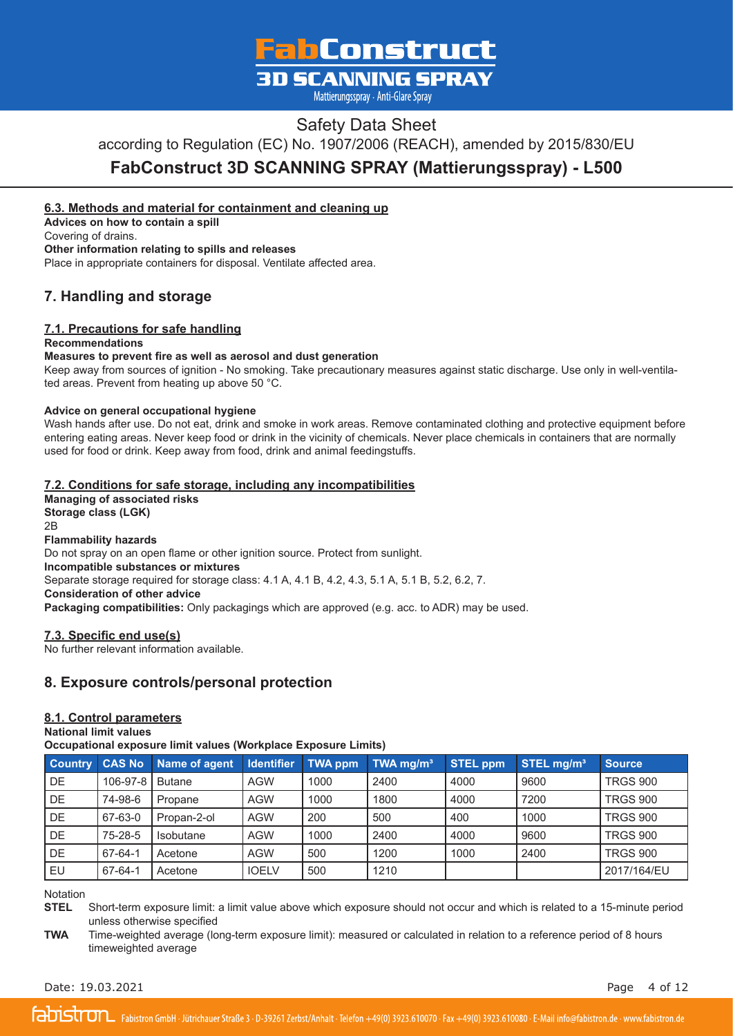

### Safety Data Sheet

according to Regulation (EC) No. 1907/2006 (REACH), amended by 2015/830/EU

### **FabConstruct 3D SCANNING SPRAY (Mattierungsspray) - L500**

#### **6.3. Methods and material for containment and cleaning up**

**Advices on how to contain a spill** Covering of drains. **Other information relating to spills and releases** Place in appropriate containers for disposal. Ventilate affected area.

### **7. Handling and storage**

#### **7.1. Precautions for safe handling**

**Recommendations**

#### **Measures to prevent fire as well as aerosol and dust generation**

Keep away from sources of ignition - No smoking. Take precautionary measures against static discharge. Use only in well-ventilated areas. Prevent from heating up above 50 °C.

#### **Advice on general occupational hygiene**

Wash hands after use. Do not eat, drink and smoke in work areas. Remove contaminated clothing and protective equipment before entering eating areas. Never keep food or drink in the vicinity of chemicals. Never place chemicals in containers that are normally used for food or drink. Keep away from food, drink and animal feedingstuffs.

#### **7.2. Conditions for safe storage, including any incompatibilities**

**Managing of associated risks Storage class (LGK)** 2B **Flammability hazards** Do not spray on an open flame or other ignition source. Protect from sunlight. **Incompatible substances or mixtures** Separate storage required for storage class: 4.1 A, 4.1 B, 4.2, 4.3, 5.1 A, 5.1 B, 5.2, 6.2, 7. **Consideration of other advice Packaging compatibilities:** Only packagings which are approved (e.g. acc. to ADR) may be used.

#### **7.3. Specific end use(s)**

No further relevant information available.

### **8. Exposure controls/personal protection**

#### **8.1. Control parameters**

#### **National limit values**

**Occupational exposure limit values (Workplace Exposure Limits)**

| <b>Country</b> | <b>CAS No</b> | Name of agent    | <b>Identifier</b> | <b>TWA ppm</b> | TWA mg/m <sup>3</sup> | STEL ppm | STEL mg/m <sup>3</sup> | <b>Source</b>   |
|----------------|---------------|------------------|-------------------|----------------|-----------------------|----------|------------------------|-----------------|
| l DE           | 106-97-8      | Butane           | <b>AGW</b>        | 1000           | 2400                  | 4000     | 9600                   | <b>TRGS 900</b> |
| l DE           | 74-98-6       | Propane          | <b>AGW</b>        | 1000           | 1800                  | 4000     | 7200                   | <b>TRGS 900</b> |
| DE             | 67-63-0       | Propan-2-ol      | <b>AGW</b>        | 200            | 500                   | 400      | 1000                   | <b>TRGS 900</b> |
| DE             | 75-28-5       | <b>Isobutane</b> | <b>AGW</b>        | 1000           | 2400                  | 4000     | 9600                   | <b>TRGS 900</b> |
| l DE           | 67-64-1       | Acetone          | <b>AGW</b>        | 500            | 1200                  | 1000     | 2400                   | <b>TRGS 900</b> |
| EU             | 67-64-1       | Acetone          | <b>IOELV</b>      | 500            | 1210                  |          |                        | 2017/164/EU     |

Notation

**STEL** Short-term exposure limit: a limit value above which exposure should not occur and which is related to a 15-minute period unless otherwise specified

**TWA** Time-weighted average (long-term exposure limit): measured or calculated in relation to a reference period of 8 hours timeweighted average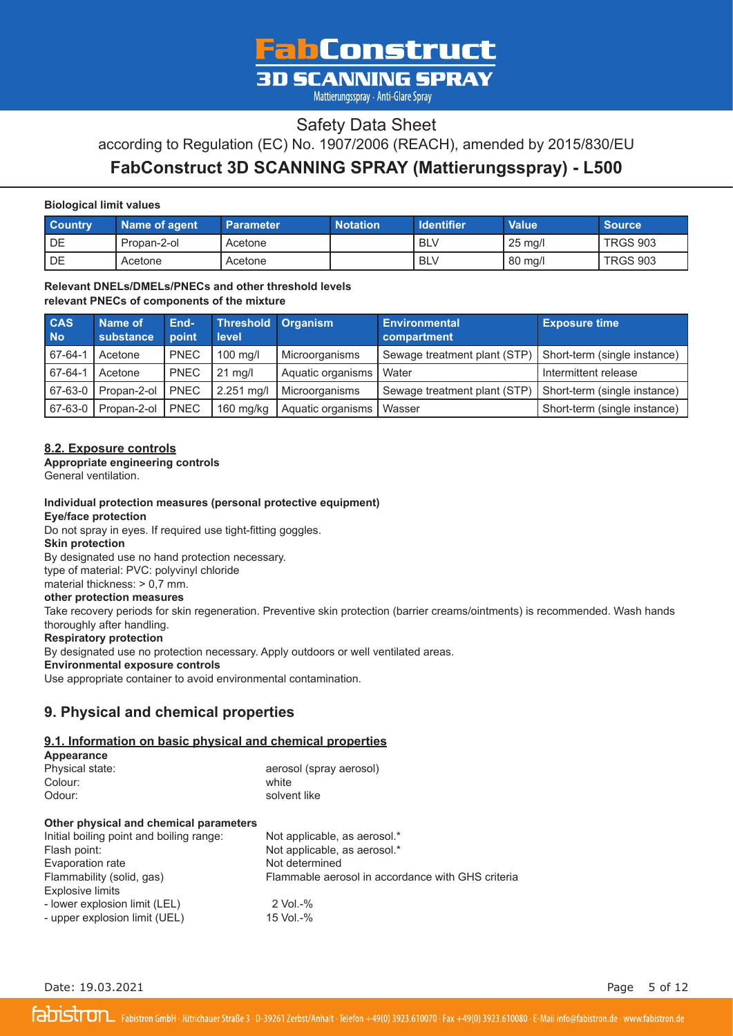

# Safety Data Sheet according to Regulation (EC) No. 1907/2006 (REACH), amended by 2015/830/EU

### **FabConstruct 3D SCANNING SPRAY (Mattierungsspray) - L500**

#### **Biological limit values**

| <b>Country</b> | Name of agent | <b>Parameter</b> | <b>Notation</b> | <b>Identifier</b> | <b>Value</b> | <b>Source</b>   |
|----------------|---------------|------------------|-----------------|-------------------|--------------|-----------------|
| DE             | Propan-2-ol   | Acetone          |                 | <b>BLV</b>        | $25$ ma/l    | <b>TRGS 903</b> |
| DE             | Acetone       | Acetone          |                 | <b>BLV</b>        | 80 mg/l      | <b>TRGS 903</b> |

#### **Relevant DNELs/DMELs/PNECs and other threshold levels relevant PNECs of components of the mixture**

| CAS.<br><b>No</b> | Name of<br>substance | End-<br>point | Threshold Organism<br>level |                   | <b>Environmental</b><br>compartment | <b>Exposure time</b>         |
|-------------------|----------------------|---------------|-----------------------------|-------------------|-------------------------------------|------------------------------|
| 67-64-1           | Acetone              | <b>PNEC</b>   | $100 \text{ mg/l}$          | Microorganisms    | Sewage treatment plant (STP)        | Short-term (single instance) |
| 67-64-1           | Acetone              | <b>PNEC</b>   | $21 \text{ mq/l}$           | Aquatic organisms | Water                               | Intermittent release         |
| 67-63-0           | Propan-2-ol          | <b>PNEC</b>   | $2.251$ mg/l                | Microorganisms    | Sewage treatment plant (STP)        | Short-term (single instance) |
| 67-63-0           | Propan-2-ol          | <b>PNEC</b>   | 160 $mg/kg$                 | Aquatic organisms | Wasser                              | Short-term (single instance) |

#### **8.2. Exposure controls**

**Appropriate engineering controls**

General ventilation.

#### **Individual protection measures (personal protective equipment)**

**Eye/face protection**

Do not spray in eyes. If required use tight-fitting goggles.

**Skin protection**

By designated use no hand protection necessary.

type of material: PVC: polyvinyl chloride material thickness: > 0,7 mm.

### **other protection measures**

Take recovery periods for skin regeneration. Preventive skin protection (barrier creams/ointments) is recommended. Wash hands thoroughly after handling.

#### **Respiratory protection**

By designated use no protection necessary. Apply outdoors or well ventilated areas.

#### **Environmental exposure controls**

Use appropriate container to avoid environmental contamination.

### **9. Physical and chemical properties**

#### **9.1. Information on basic physical and chemical properties**

| Appearance<br>Physical state:<br>Colour:<br>Odour:                                                                                                                                                                                               | aerosol (spray aerosol)<br>white<br>solvent like                                                                                                                  |
|--------------------------------------------------------------------------------------------------------------------------------------------------------------------------------------------------------------------------------------------------|-------------------------------------------------------------------------------------------------------------------------------------------------------------------|
| Other physical and chemical parameters<br>Initial boiling point and boiling range:<br>Flash point:<br>Evaporation rate<br>Flammability (solid, gas)<br><b>Explosive limits</b><br>- lower explosion limit (LEL)<br>- upper explosion limit (UEL) | Not applicable, as aerosol.*<br>Not applicable, as aerosol.*<br>Not determined<br>Flammable aerosol in accordance with GHS criteria<br>$2$ Vol.- $%$<br>15 Vol.-% |

Date: 19.03.2021

Page 5 of 12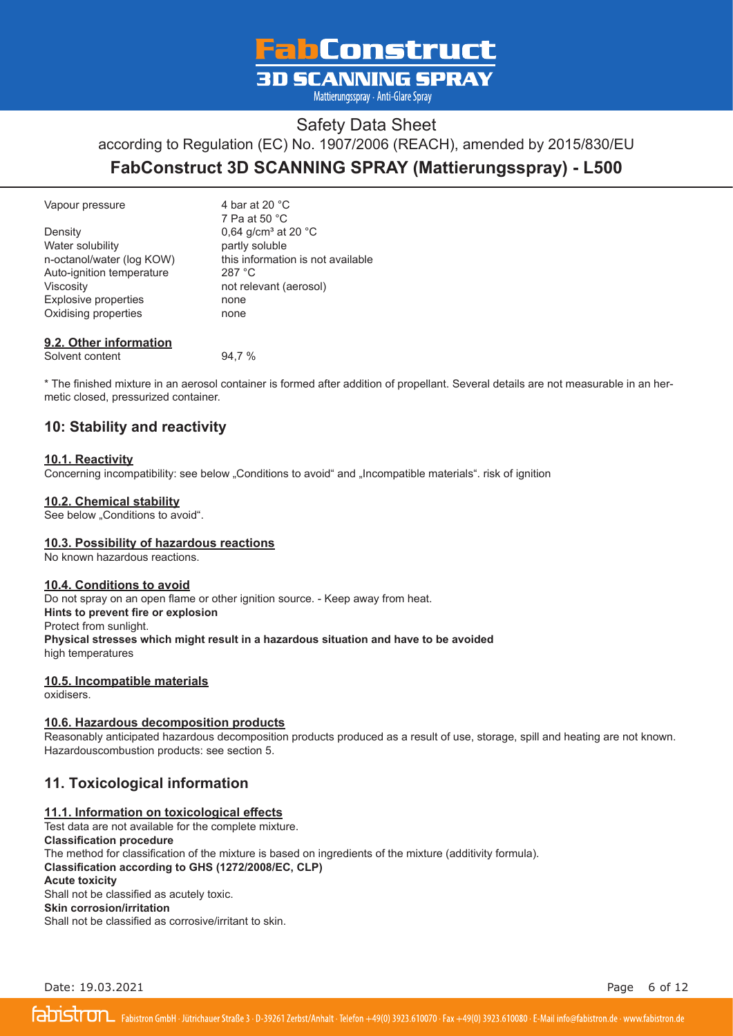

# Safety Data Sheet according to Regulation (EC) No. 1907/2006 (REACH), amended by 2015/830/EU

**FabConstruct 3D SCANNING SPRAY (Mattierungsspray) - L500**

| Vapour pressure             | 4 bar at 20 $\degree$ C                   |
|-----------------------------|-------------------------------------------|
|                             | 7 Pa at 50 $^{\circ}$ C                   |
| Density                     | 0,64 g/cm <sup>3</sup> at 20 $^{\circ}$ C |
| Water solubility            | partly soluble                            |
| n-octanol/water (log KOW)   | this information is not available         |
| Auto-ignition temperature   | 287 °C                                    |
| Viscosity                   | not relevant (aerosol)                    |
| <b>Explosive properties</b> | none                                      |
| Oxidising properties        | none                                      |
|                             |                                           |

#### **9.2. Other information**

Solvent content 94.7 %

\* The finished mixture in an aerosol container is formed after addition of propellant. Several details are not measurable in an hermetic closed, pressurized container.

### **10: Stability and reactivity**

#### **10.1. Reactivity**

Concerning incompatibility: see below "Conditions to avoid" and "Incompatible materials". risk of ignition

#### **10.2. Chemical stability**

See below "Conditions to avoid".

#### **10.3. Possibility of hazardous reactions**

No known hazardous reactions.

#### **10.4. Conditions to avoid**

Do not spray on an open flame or other ignition source. - Keep away from heat. **Hints to prevent fire or explosion** Protect from sunlight. **Physical stresses which might result in a hazardous situation and have to be avoided** high temperatures

#### **10.5. Incompatible materials**

oxidisers.

#### **10.6. Hazardous decomposition products**

Reasonably anticipated hazardous decomposition products produced as a result of use, storage, spill and heating are not known. Hazardouscombustion products: see section 5.

### **11. Toxicological information**

#### **11.1. Information on toxicological effects**

Test data are not available for the complete mixture. **Classification procedure** The method for classification of the mixture is based on ingredients of the mixture (additivity formula). **Classification according to GHS (1272/2008/EC, CLP) Acute toxicity** Shall not be classified as acutely toxic. **Skin corrosion/irritation** Shall not be classified as corrosive/irritant to skin.

Date: 19.03.2021

Page 6 of 12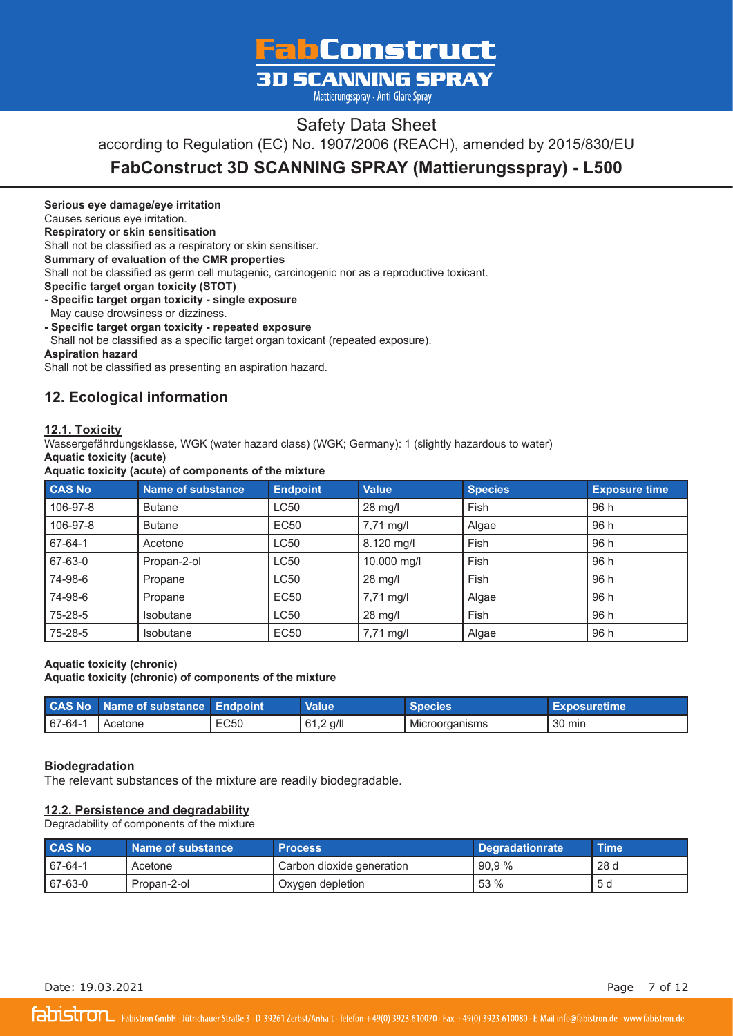

### Safety Data Sheet

according to Regulation (EC) No. 1907/2006 (REACH), amended by 2015/830/EU

**FabConstruct 3D SCANNING SPRAY (Mattierungsspray) - L500**

**Serious eye damage/eye irritation**

Causes serious eye irritation.

**Respiratory or skin sensitisation**

Shall not be classified as a respiratory or skin sensitiser.

**Summary of evaluation of the CMR properties**

Shall not be classified as germ cell mutagenic, carcinogenic nor as a reproductive toxicant.

**Specific target organ toxicity (STOT)**

**- Specific target organ toxicity - single exposure**

May cause drowsiness or dizziness.

**- Specific target organ toxicity - repeated exposure**

Shall not be classified as a specific target organ toxicant (repeated exposure).

**Aspiration hazard**

Shall not be classified as presenting an aspiration hazard.

### **12. Ecological information**

#### **12.1. Toxicity**

Wassergefährdungsklasse, WGK (water hazard class) (WGK; Germany): 1 (slightly hazardous to water) **Aquatic toxicity (acute)**

#### **Aquatic toxicity (acute) of components of the mixture**

| <b>CAS No</b> | <b>Name of substance</b> | <b>Endpoint</b> | <b>Value</b>        | <b>Species</b> | <b>Exposure time</b> |
|---------------|--------------------------|-----------------|---------------------|----------------|----------------------|
| 106-97-8      | <b>Butane</b>            | <b>LC50</b>     | $28$ mg/l           | <b>Fish</b>    | 96 h                 |
| 106-97-8      | <b>Butane</b>            | <b>EC50</b>     | 7,71 mg/l           | Algae          | 96 h                 |
| 67-64-1       | Acetone                  | <b>LC50</b>     | 8.120 mg/l          | Fish           | 96 h                 |
| 67-63-0       | Propan-2-ol              | <b>LC50</b>     | 10.000 mg/l         | Fish           | 96 h                 |
| 74-98-6       | Propane                  | <b>LC50</b>     | 28 mg/l             | Fish           | 96 h                 |
| 74-98-6       | Propane                  | <b>EC50</b>     | 7,71 mg/l           | Algae          | 96 h                 |
| 75-28-5       | <b>Isobutane</b>         | <b>LC50</b>     | 28 mg/l             | Fish           | 96 h                 |
| 75-28-5       | <b>Isobutane</b>         | <b>EC50</b>     | $7,71 \text{ mg/l}$ | Algae          | 96 h                 |

#### **Aquatic toxicity (chronic)**

**Aquatic toxicity (chronic) of components of the mixture**

|         | <b>CAS No</b> Name of substance Endpoint |      | <b>Value</b> | <b>Species</b> | <b>Exposuretime</b> |
|---------|------------------------------------------|------|--------------|----------------|---------------------|
| 67-64-1 | Acetone                                  | EC50 | $61,2$ q/ll  | Microorganisms | 30 min              |

#### **Biodegradation**

The relevant substances of the mixture are readily biodegradable.

#### **12.2. Persistence and degradability**

Degradability of components of the mixture

| <b>CAS No</b> | Name of substance | <b>Process</b>            | <b>Degradationrate</b> | <b>Time</b> |
|---------------|-------------------|---------------------------|------------------------|-------------|
| $167-64-1$    | Acetone           | Carbon dioxide generation | 90.9 %                 | 28 d        |
| 67-63-0       | Propan-2-ol       | Oxygen depletion          | $53 \%$                | 5 d         |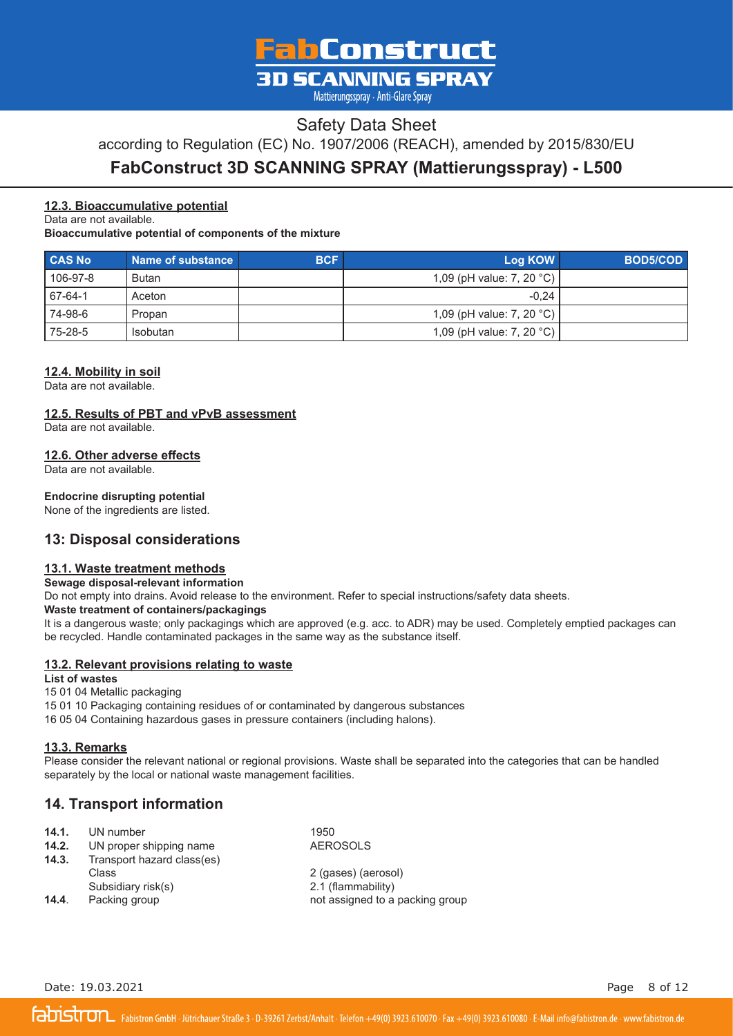

### Safety Data Sheet

according to Regulation (EC) No. 1907/2006 (REACH), amended by 2015/830/EU

**FabConstruct 3D SCANNING SPRAY (Mattierungsspray) - L500**

#### **12.3. Bioaccumulative potential**

Data are not available.

**Bioaccumulative potential of components of the mixture**

| <b>CAS No</b> | Name of substance | <b>BCF</b> | Log KOW                                     | BOD5/COD |
|---------------|-------------------|------------|---------------------------------------------|----------|
| 106-97-8      | Butan             |            | 1,09 (pH value: 7, 20 $^{\circ}$ C) $\vert$ |          |
| 67-64-1       | Aceton            |            | $-0.24$                                     |          |
| 74-98-6       | Propan            |            | 1,09 (pH value: 7, 20 $^{\circ}$ C)         |          |
| 75-28-5       | Isobutan          |            | 1,09 (pH value: 7, 20 $^{\circ}$ C)         |          |

#### **12.4. Mobility in soil**

Data are not available.

#### **12.5. Results of PBT and vPvB assessment**

Data are not available.

#### **12.6. Other adverse effects**

Data are not available.

**Endocrine disrupting potential** None of the ingredients are listed.

### **13: Disposal considerations**

#### **13.1. Waste treatment methods**

#### **Sewage disposal-relevant information**

Do not empty into drains. Avoid release to the environment. Refer to special instructions/safety data sheets.

#### **Waste treatment of containers/packagings**

It is a dangerous waste; only packagings which are approved (e.g. acc. to ADR) may be used. Completely emptied packages can be recycled. Handle contaminated packages in the same way as the substance itself.

#### **13.2. Relevant provisions relating to waste**

#### **List of wastes**

#### 15 01 04 Metallic packaging

15 01 10 Packaging containing residues of or contaminated by dangerous substances

16 05 04 Containing hazardous gases in pressure containers (including halons).

#### **13.3. Remarks**

Please consider the relevant national or regional provisions. Waste shall be separated into the categories that can be handled separately by the local or national waste management facilities.

### **14. Transport information**

| 14.1. | UN number                  | 1950                |
|-------|----------------------------|---------------------|
| 14.2. | UN proper shipping name    | <b>AEROSOLS</b>     |
| 14.3. | Transport hazard class(es) |                     |
|       | Class                      | 2 (gases) (aerosol) |
|       | Subsidiary risk(s)         | 2.1 (flammability)  |
| 14.4. | Packing group              | not assigned to a p |

a packing group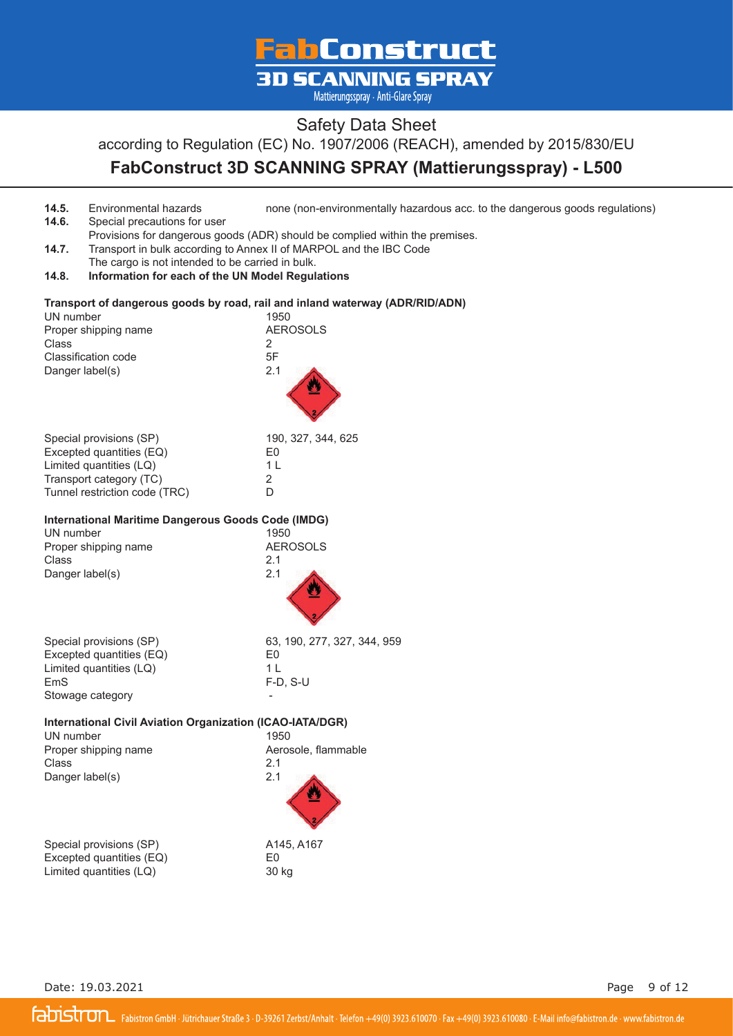

### Safety Data Sheet

according to Regulation (EC) No. 1907/2006 (REACH), amended by 2015/830/EU

**FabConstruct 3D SCANNING SPRAY (Mattierungsspray) - L500**

**14.5.** Environmental hazards none (non-environmentally hazardous acc. to the dangerous goods regulations)<br>**14.6.** Special precautions for user **Special precautions for user** Provisions for dangerous goods (ADR) should be complied within the premises. **14.7.** Transport in bulk according to Annex II of MARPOL and the IBC Code The cargo is not intended to be carried in bulk. **14.8. Information for each of the UN Model Regulations Transport of dangerous goods by road, rail and inland waterway (ADR/RID/ADN)** UN number 1950<br>Proper shipping name 1950 REROSOLS Proper shipping name and according the AC<br>Class 2 Class 2<br>Classification code 65 Classification code 5F<br>Danger label(s) 3.1 Danger label(s) Special provisions (SP) 190, 327, 344, 625 Excepted quantities (EQ) E0 Limited quantities (LQ) 1 L Transport category (TC) 2<br>
Tunnel restriction code (TRC) D Tunnel restriction code (TRC) **International Maritime Dangerous Goods Code (IMDG)** UN number<br>Proper shipping name<br>AEROSOLS Proper shipping name Class 2.1 Danger label(s) 2.1 Special provisions (SP) 63, 190, 277, 327, 344, 959 Excepted quantities (EQ) E0 Limited quantities (LQ) 1 L EmS F-D, S-U Stowage category **International Civil Aviation Organization (ICAO-IATA/DGR)** UN number<br>Proper shipping name<br>Proper shipping name<br>Aerosole, flammable Proper shipping name Class 2.1 Danger label(s) 2.1 Special provisions (SP)  $A145, A167$ Excepted quantities (EQ) E0<br>
Limited quantities (LQ) 30 kg Limited quantities (LQ)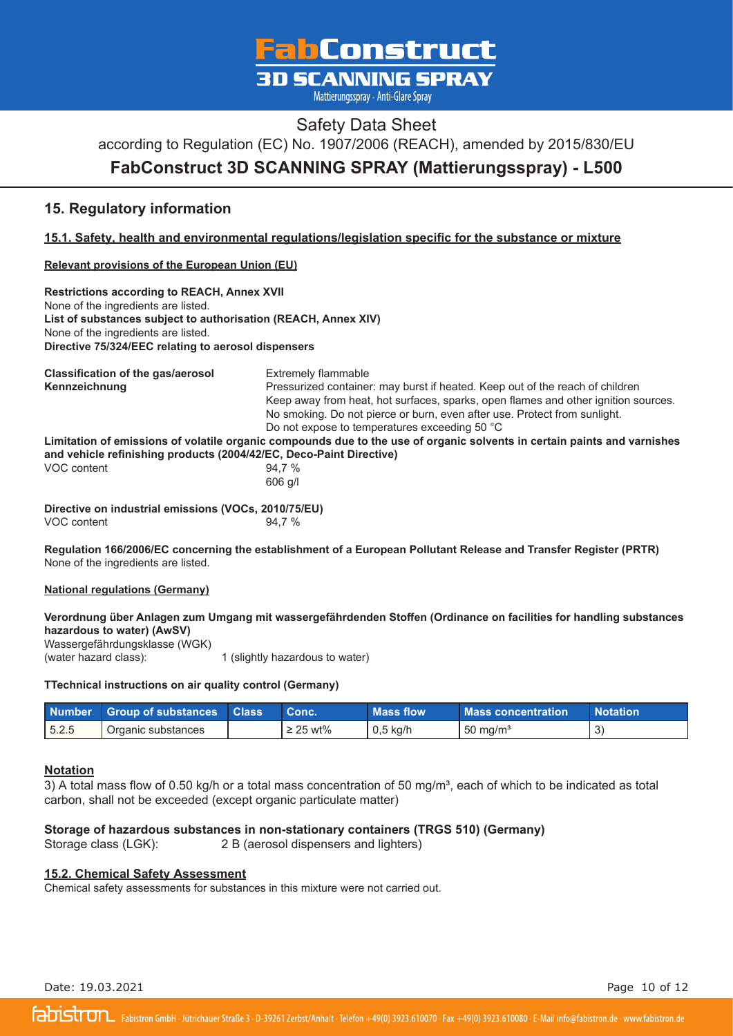

### Safety Data Sheet

according to Regulation (EC) No. 1907/2006 (REACH), amended by 2015/830/EU

**FabConstruct 3D SCANNING SPRAY (Mattierungsspray) - L500**

### **15. Regulatory information**

#### **15.1. Safety, health and environmental regulations/legislation specific for the substance or mixture**

**Relevant provisions of the European Union (EU)**

**Restrictions according to REACH, Annex XVII** None of the ingredients are listed. **List of substances subject to authorisation (REACH, Annex XIV)** None of the ingredients are listed. **Directive 75/324/EEC relating to aerosol dispensers**

**Classification of the gas/aerosol Extremely flammable Kennzeichnung** Pressurized container: may burst if heated. Keep out of the reach of children Keep away from heat, hot surfaces, sparks, open flames and other ignition sources. No smoking. Do not pierce or burn, even after use. Protect from sunlight. Do not expose to temperatures exceeding 50 °C **Limitation of emissions of volatile organic compounds due to the use of organic solvents in certain paints and varnishes**

**and vehicle refinishing products (2004/42/EC, Deco-Paint Directive)** VOC content 606 g/l

**Directive on industrial emissions (VOCs, 2010/75/EU)** VOC content 94,7 %

**Regulation 166/2006/EC concerning the establishment of a European Pollutant Release and Transfer Register (PRTR)** None of the ingredients are listed.

#### **National regulations (Germany)**

**Verordnung über Anlagen zum Umgang mit wassergefährdenden Stoffen (Ordinance on facilities for handling substances hazardous to water) (AwSV)** Wassergefährdungsklasse (WGK) (water hazard class): 1 (slightly hazardous to water)

#### **TTechnical instructions on air quality control (Germany)**

|        | Number Group of substances Class | Conc.         | Mass flow  | <b>Mass concentration</b> | <b>Notation</b> |
|--------|----------------------------------|---------------|------------|---------------------------|-----------------|
| 15.2.5 | Organic substances               | $\geq$ 25 wt% | $0.5$ kg/h | $50 \text{ mg/m}^3$       |                 |

#### **Notation**

3) A total mass flow of 0.50 kg/h or a total mass concentration of 50 mg/m<sup>3</sup>, each of which to be indicated as total carbon, shall not be exceeded (except organic particulate matter)

#### **Storage of hazardous substances in non-stationary containers (TRGS 510) (Germany)**

Storage class (LGK): 2 B (aerosol dispensers and lighters)

#### **15.2. Chemical Safety Assessment**

Chemical safety assessments for substances in this mixture were not carried out.

Date: 19.03.2021

Page 10 of 12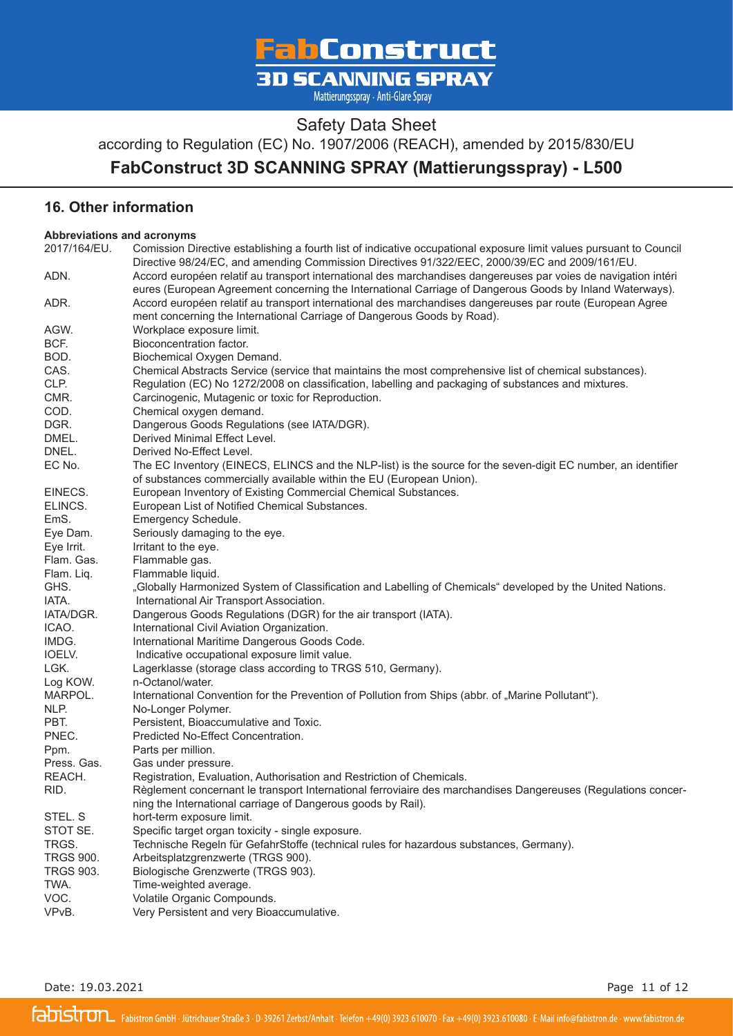

# Safety Data Sheet according to Regulation (EC) No. 1907/2006 (REACH), amended by 2015/830/EU

**FabConstruct 3D SCANNING SPRAY (Mattierungsspray) - L500**

### **16. Other information**

#### **Abbreviations and acronyms**

| 2017/164/EU.     | Comission Directive establishing a fourth list of indicative occupational exposure limit values pursuant to Council<br>Directive 98/24/EC, and amending Commission Directives 91/322/EEC, 2000/39/EC and 2009/161/EU.      |  |  |  |  |
|------------------|----------------------------------------------------------------------------------------------------------------------------------------------------------------------------------------------------------------------------|--|--|--|--|
| ADN.             | Accord européen relatif au transport international des marchandises dangereuses par voies de navigation intéri<br>eures (European Agreement concerning the International Carriage of Dangerous Goods by Inland Waterways). |  |  |  |  |
| ADR.             | Accord européen relatif au transport international des marchandises dangereuses par route (European Agree                                                                                                                  |  |  |  |  |
|                  | ment concerning the International Carriage of Dangerous Goods by Road).                                                                                                                                                    |  |  |  |  |
|                  |                                                                                                                                                                                                                            |  |  |  |  |
| AGW.             | Workplace exposure limit.                                                                                                                                                                                                  |  |  |  |  |
| BCF.             | Bioconcentration factor.                                                                                                                                                                                                   |  |  |  |  |
| BOD.             | Biochemical Oxygen Demand.                                                                                                                                                                                                 |  |  |  |  |
| CAS.             | Chemical Abstracts Service (service that maintains the most comprehensive list of chemical substances).                                                                                                                    |  |  |  |  |
| CLP.             | Regulation (EC) No 1272/2008 on classification, labelling and packaging of substances and mixtures.                                                                                                                        |  |  |  |  |
| CMR.             | Carcinogenic, Mutagenic or toxic for Reproduction.                                                                                                                                                                         |  |  |  |  |
| COD.             | Chemical oxygen demand.                                                                                                                                                                                                    |  |  |  |  |
| DGR.             | Dangerous Goods Regulations (see IATA/DGR).                                                                                                                                                                                |  |  |  |  |
| DMEL.            | Derived Minimal Effect Level.                                                                                                                                                                                              |  |  |  |  |
| DNEL.            | Derived No-Effect Level.                                                                                                                                                                                                   |  |  |  |  |
| EC No.           | The EC Inventory (EINECS, ELINCS and the NLP-list) is the source for the seven-digit EC number, an identifier                                                                                                              |  |  |  |  |
|                  | of substances commercially available within the EU (European Union).                                                                                                                                                       |  |  |  |  |
| EINECS.          | European Inventory of Existing Commercial Chemical Substances.                                                                                                                                                             |  |  |  |  |
| ELINCS.          | European List of Notified Chemical Substances.                                                                                                                                                                             |  |  |  |  |
| EmS.             | Emergency Schedule.                                                                                                                                                                                                        |  |  |  |  |
| Eye Dam.         | Seriously damaging to the eye.                                                                                                                                                                                             |  |  |  |  |
| Eye Irrit.       | Irritant to the eye.                                                                                                                                                                                                       |  |  |  |  |
| Flam. Gas.       | Flammable gas.                                                                                                                                                                                                             |  |  |  |  |
| Flam. Liq.       | Flammable liquid.                                                                                                                                                                                                          |  |  |  |  |
| GHS.             | "Globally Harmonized System of Classification and Labelling of Chemicals" developed by the United Nations.                                                                                                                 |  |  |  |  |
| IATA.            | International Air Transport Association.                                                                                                                                                                                   |  |  |  |  |
| IATA/DGR.        | Dangerous Goods Regulations (DGR) for the air transport (IATA).                                                                                                                                                            |  |  |  |  |
| ICAO.            | International Civil Aviation Organization.                                                                                                                                                                                 |  |  |  |  |
| IMDG.            | International Maritime Dangerous Goods Code.                                                                                                                                                                               |  |  |  |  |
| <b>IOELV.</b>    | Indicative occupational exposure limit value.                                                                                                                                                                              |  |  |  |  |
| LGK.             | Lagerklasse (storage class according to TRGS 510, Germany).                                                                                                                                                                |  |  |  |  |
| Log KOW.         | n-Octanol/water.                                                                                                                                                                                                           |  |  |  |  |
| MARPOL.          | International Convention for the Prevention of Pollution from Ships (abbr. of "Marine Pollutant").                                                                                                                         |  |  |  |  |
| NLP.             | No-Longer Polymer.                                                                                                                                                                                                         |  |  |  |  |
| PBT.             | Persistent, Bioaccumulative and Toxic.                                                                                                                                                                                     |  |  |  |  |
| PNEC.            | Predicted No-Effect Concentration.                                                                                                                                                                                         |  |  |  |  |
| Ppm.             | Parts per million.                                                                                                                                                                                                         |  |  |  |  |
| Press. Gas.      | Gas under pressure.                                                                                                                                                                                                        |  |  |  |  |
| REACH.           | Registration, Evaluation, Authorisation and Restriction of Chemicals.                                                                                                                                                      |  |  |  |  |
| RID.             | Règlement concernant le transport International ferroviaire des marchandises Dangereuses (Regulations concer-                                                                                                              |  |  |  |  |
|                  | ning the International carriage of Dangerous goods by Rail).                                                                                                                                                               |  |  |  |  |
| STEL. S          | hort-term exposure limit.                                                                                                                                                                                                  |  |  |  |  |
| STOT SE.         | Specific target organ toxicity - single exposure.                                                                                                                                                                          |  |  |  |  |
| TRGS.            | Technische Regeln für GefahrStoffe (technical rules for hazardous substances, Germany).                                                                                                                                    |  |  |  |  |
| <b>TRGS 900.</b> | Arbeitsplatzgrenzwerte (TRGS 900).                                                                                                                                                                                         |  |  |  |  |
| <b>TRGS 903.</b> | Biologische Grenzwerte (TRGS 903).                                                                                                                                                                                         |  |  |  |  |
| TWA.             | Time-weighted average.                                                                                                                                                                                                     |  |  |  |  |
| VOC.             | Volatile Organic Compounds.                                                                                                                                                                                                |  |  |  |  |
| VPvB.            | Very Persistent and very Bioaccumulative.                                                                                                                                                                                  |  |  |  |  |
|                  |                                                                                                                                                                                                                            |  |  |  |  |